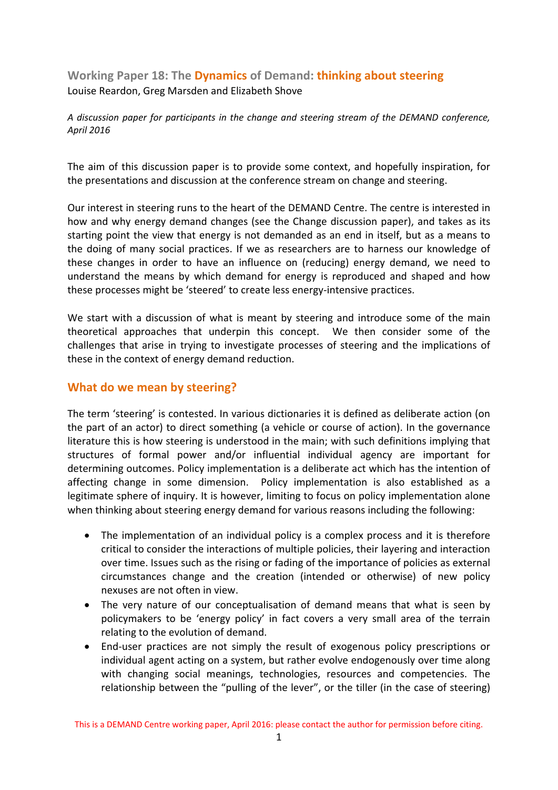**Working Paper 18: The Dynamics of Demand: thinking about steering** Louise Reardon, Greg Marsden and Elizabeth Shove

*A discussion paper for participants in the change and steering stream of the DEMAND conference, April 2016*

The aim of this discussion paper is to provide some context, and hopefully inspiration, for the presentations and discussion at the conference stream on change and steering.

Our interest in steering runs to the heart of the DEMAND Centre. The centre is interested in how and why energy demand changes (see the Change discussion paper), and takes as its starting point the view that energy is not demanded as an end in itself, but as a means to the doing of many social practices. If we as researchers are to harness our knowledge of these changes in order to have an influence on (reducing) energy demand, we need to understand the means by which demand for energy is reproduced and shaped and how these processes might be 'steered' to create less energy‐intensive practices.

We start with a discussion of what is meant by steering and introduce some of the main theoretical approaches that underpin this concept. We then consider some of the challenges that arise in trying to investigate processes of steering and the implications of these in the context of energy demand reduction.

## **What do we mean by steering?**

The term 'steering' is contested. In various dictionaries it is defined as deliberate action (on the part of an actor) to direct something (a vehicle or course of action). In the governance literature this is how steering is understood in the main; with such definitions implying that structures of formal power and/or influential individual agency are important for determining outcomes. Policy implementation is a deliberate act which has the intention of affecting change in some dimension. Policy implementation is also established as a legitimate sphere of inquiry. It is however, limiting to focus on policy implementation alone when thinking about steering energy demand for various reasons including the following:

- The implementation of an individual policy is a complex process and it is therefore critical to consider the interactions of multiple policies, their layering and interaction over time. Issues such as the rising or fading of the importance of policies as external circumstances change and the creation (intended or otherwise) of new policy nexuses are not often in view.
- The very nature of our conceptualisation of demand means that what is seen by policymakers to be 'energy policy' in fact covers a very small area of the terrain relating to the evolution of demand.
- End-user practices are not simply the result of exogenous policy prescriptions or individual agent acting on a system, but rather evolve endogenously over time along with changing social meanings, technologies, resources and competencies. The relationship between the "pulling of the lever", or the tiller (in the case of steering)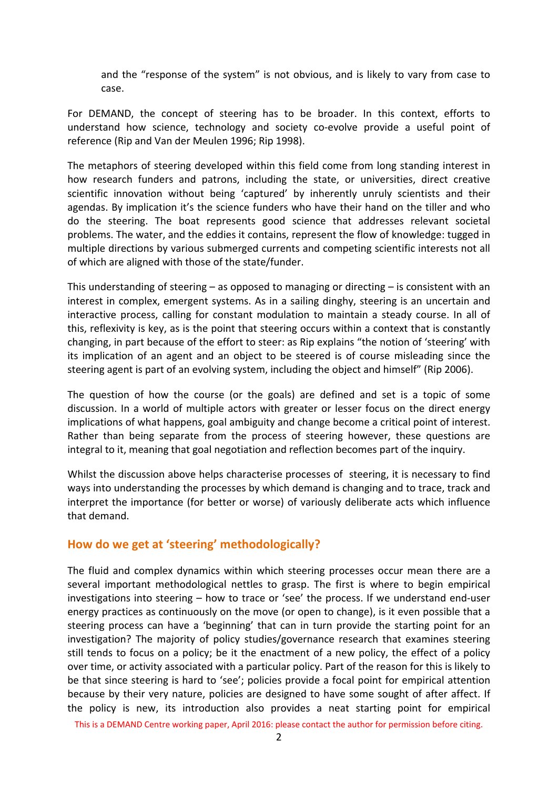and the "response of the system" is not obvious, and is likely to vary from case to case.

For DEMAND, the concept of steering has to be broader. In this context, efforts to understand how science, technology and society co‐evolve provide a useful point of reference (Rip and Van der Meulen 1996; Rip 1998).

The metaphors of steering developed within this field come from long standing interest in how research funders and patrons, including the state, or universities, direct creative scientific innovation without being 'captured' by inherently unruly scientists and their agendas. By implication it's the science funders who have their hand on the tiller and who do the steering. The boat represents good science that addresses relevant societal problems. The water, and the eddies it contains, represent the flow of knowledge: tugged in multiple directions by various submerged currents and competing scientific interests not all of which are aligned with those of the state/funder.

This understanding of steering – as opposed to managing or directing – is consistent with an interest in complex, emergent systems. As in a sailing dinghy, steering is an uncertain and interactive process, calling for constant modulation to maintain a steady course. In all of this, reflexivity is key, as is the point that steering occurs within a context that is constantly changing, in part because of the effort to steer: as Rip explains "the notion of 'steering' with its implication of an agent and an object to be steered is of course misleading since the steering agent is part of an evolving system, including the object and himself" (Rip 2006).

The question of how the course (or the goals) are defined and set is a topic of some discussion. In a world of multiple actors with greater or lesser focus on the direct energy implications of what happens, goal ambiguity and change become a critical point of interest. Rather than being separate from the process of steering however, these questions are integral to it, meaning that goal negotiation and reflection becomes part of the inquiry.

Whilst the discussion above helps characterise processes of steering, it is necessary to find ways into understanding the processes by which demand is changing and to trace, track and interpret the importance (for better or worse) of variously deliberate acts which influence that demand.

## **How do we get at 'steering' methodologically?**

The fluid and complex dynamics within which steering processes occur mean there are a several important methodological nettles to grasp. The first is where to begin empirical investigations into steering – how to trace or 'see' the process. If we understand end‐user energy practices as continuously on the move (or open to change), is it even possible that a steering process can have a 'beginning' that can in turn provide the starting point for an investigation? The majority of policy studies/governance research that examines steering still tends to focus on a policy; be it the enactment of a new policy, the effect of a policy over time, or activity associated with a particular policy. Part of the reason for this is likely to be that since steering is hard to 'see'; policies provide a focal point for empirical attention because by their very nature, policies are designed to have some sought of after affect. If the policy is new, its introduction also provides a neat starting point for empirical

This is a DEMAND Centre working paper, April 2016: please contact the author for permission before citing.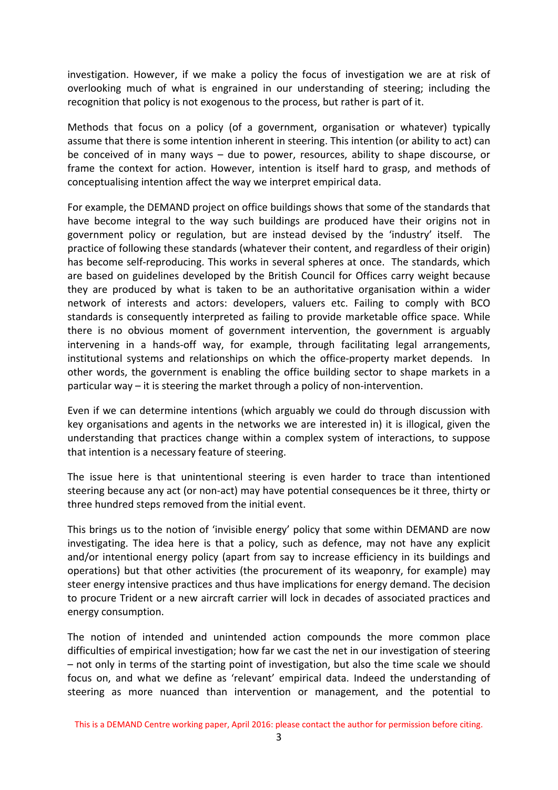investigation. However, if we make a policy the focus of investigation we are at risk of overlooking much of what is engrained in our understanding of steering; including the recognition that policy is not exogenous to the process, but rather is part of it.

Methods that focus on a policy (of a government, organisation or whatever) typically assume that there is some intention inherent in steering. This intention (or ability to act) can be conceived of in many ways – due to power, resources, ability to shape discourse, or frame the context for action. However, intention is itself hard to grasp, and methods of conceptualising intention affect the way we interpret empirical data.

For example, the DEMAND project on office buildings shows that some of the standards that have become integral to the way such buildings are produced have their origins not in government policy or regulation, but are instead devised by the 'industry' itself. The practice of following these standards (whatever their content, and regardless of their origin) has become self-reproducing. This works in several spheres at once. The standards, which are based on guidelines developed by the British Council for Offices carry weight because they are produced by what is taken to be an authoritative organisation within a wider network of interests and actors: developers, valuers etc. Failing to comply with BCO standards is consequently interpreted as failing to provide marketable office space. While there is no obvious moment of government intervention, the government is arguably intervening in a hands‐off way, for example, through facilitating legal arrangements, institutional systems and relationships on which the office-property market depends. In other words, the government is enabling the office building sector to shape markets in a particular way – it is steering the market through a policy of non‐intervention.

Even if we can determine intentions (which arguably we could do through discussion with key organisations and agents in the networks we are interested in) it is illogical, given the understanding that practices change within a complex system of interactions, to suppose that intention is a necessary feature of steering.

The issue here is that unintentional steering is even harder to trace than intentioned steering because any act (or non‐act) may have potential consequences be it three, thirty or three hundred steps removed from the initial event.

This brings us to the notion of 'invisible energy' policy that some within DEMAND are now investigating. The idea here is that a policy, such as defence, may not have any explicit and/or intentional energy policy (apart from say to increase efficiency in its buildings and operations) but that other activities (the procurement of its weaponry, for example) may steer energy intensive practices and thus have implications for energy demand. The decision to procure Trident or a new aircraft carrier will lock in decades of associated practices and energy consumption.

The notion of intended and unintended action compounds the more common place difficulties of empirical investigation; how far we cast the net in our investigation of steering – not only in terms of the starting point of investigation, but also the time scale we should focus on, and what we define as 'relevant' empirical data. Indeed the understanding of steering as more nuanced than intervention or management, and the potential to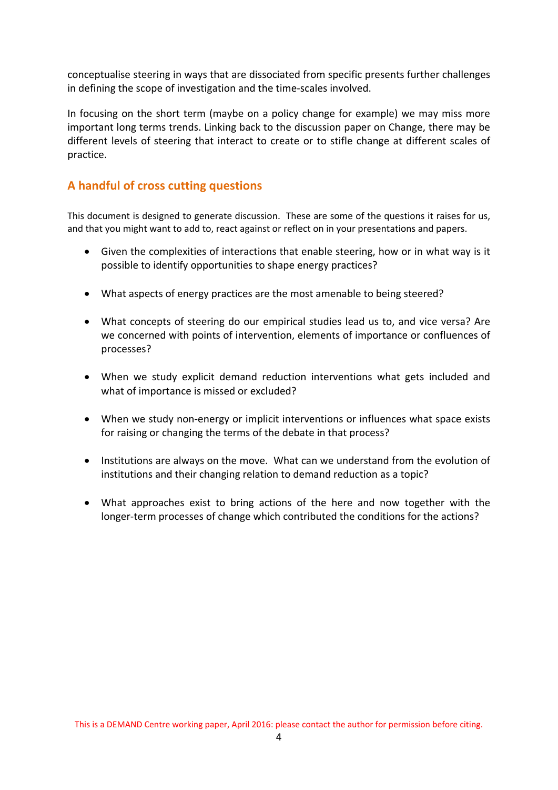conceptualise steering in ways that are dissociated from specific presents further challenges in defining the scope of investigation and the time‐scales involved.

In focusing on the short term (maybe on a policy change for example) we may miss more important long terms trends. Linking back to the discussion paper on Change, there may be different levels of steering that interact to create or to stifle change at different scales of practice.

## **A handful of cross cutting questions**

This document is designed to generate discussion. These are some of the questions it raises for us, and that you might want to add to, react against or reflect on in your presentations and papers.

- Given the complexities of interactions that enable steering, how or in what way is it possible to identify opportunities to shape energy practices?
- What aspects of energy practices are the most amenable to being steered?
- What concepts of steering do our empirical studies lead us to, and vice versa? Are we concerned with points of intervention, elements of importance or confluences of processes?
- When we study explicit demand reduction interventions what gets included and what of importance is missed or excluded?
- When we study non-energy or implicit interventions or influences what space exists for raising or changing the terms of the debate in that process?
- Institutions are always on the move. What can we understand from the evolution of institutions and their changing relation to demand reduction as a topic?
- What approaches exist to bring actions of the here and now together with the longer-term processes of change which contributed the conditions for the actions?

This is a DEMAND Centre working paper, April 2016: please contact the author for permission before citing.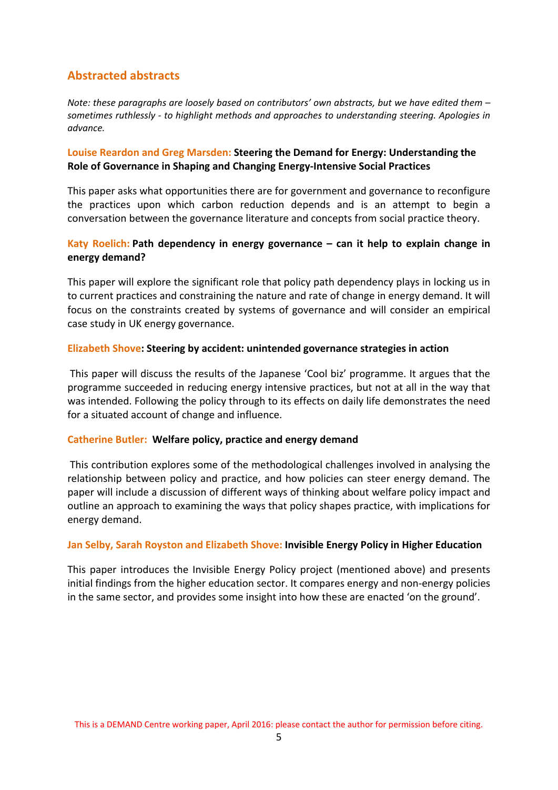# **Abstracted abstracts**

*Note: these paragraphs are loosely based on contributors' own abstracts, but we have edited them – sometimes ruthlessly ‐ to highlight methods and approaches to understanding steering. Apologies in advance.*

#### **Louise Reardon and Greg Marsden: Steering the Demand for Energy: Understanding the Role of Governance in Shaping and Changing Energy‐Intensive Social Practices**

This paper asks what opportunities there are for government and governance to reconfigure the practices upon which carbon reduction depends and is an attempt to begin a conversation between the governance literature and concepts from social practice theory.

## **Katy Roelich: Path dependency in energy governance – can it help to explain change in energy demand?**

This paper will explore the significant role that policy path dependency plays in locking us in to current practices and constraining the nature and rate of change in energy demand. It will focus on the constraints created by systems of governance and will consider an empirical case study in UK energy governance.

#### **Elizabeth Shove: Steering by accident: unintended governance strategies in action**

This paper will discuss the results of the Japanese 'Cool biz' programme. It argues that the programme succeeded in reducing energy intensive practices, but not at all in the way that was intended. Following the policy through to its effects on daily life demonstrates the need for a situated account of change and influence.

#### **Catherine Butler: Welfare policy, practice and energy demand**

This contribution explores some of the methodological challenges involved in analysing the relationship between policy and practice, and how policies can steer energy demand. The paper will include a discussion of different ways of thinking about welfare policy impact and outline an approach to examining the ways that policy shapes practice, with implications for energy demand.

#### **Jan Selby, Sarah Royston and Elizabeth Shove: Invisible Energy Policy in Higher Education**

This paper introduces the Invisible Energy Policy project (mentioned above) and presents initial findings from the higher education sector. It compares energy and non‐energy policies in the same sector, and provides some insight into how these are enacted 'on the ground'.